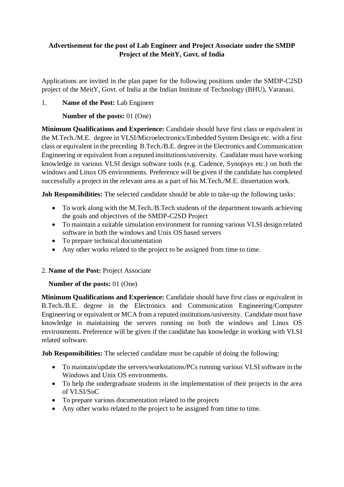# **Advertisement for the post of Lab Engineer and Project Associate under the SMDP Project of the MeitY, Govt. of India**

Applications are invited in the plan paper for the following positions under the SMDP‐C2SD project of the MeitY, Govt. of India at the Indian Institute of Technology (BHU), Varanasi.

## 1. **Name of the Post:** Lab Engineer

**Number of the posts:** 01 (One)

**Minimum Qualifications and Experience:** Candidate should have first class or equivalent in the M.Tech./M.E. degree in VLSI/Microelectronics/Embedded System Design etc. with a first class or equivalent in the preceding B.Tech./B.E. degree in the Electronics and Communication Engineering or equivalent from a reputed institutions/university. Candidate must have working knowledge in various VLSI design software tools (e.g. Cadence, Synopsys etc.) on both the windows and Linux OS environments. Preference will be given if the candidate has completed successfully a project in the relevant area as a part of his M.Tech./M.E. dissertation work.

**Job Responsibilities:** The selected candidate should be able to take-up the following tasks:

- To work along with the M.Tech./B.Tech students of the department towards achieving the goals and objectives of the SMDP-C2SD Project
- To maintain a suitable simulation environment for running various VLSI design related software in both the windows and Unix OS based servers
- To prepare technical documentation
- Any other works related to the project to be assigned from time to time.

### 2. **Name of the Post:** Project Associate

### **Number of the posts:** 01 (One)

**Minimum Qualifications and Experience:** Candidate should have first class or equivalent in B.Tech./B.E. degree in the Electronics and Communication Engineering/Computer Engineering or equivalent or MCA from a reputed institutions/university. Candidate must have knowledge in maintaining the servers running on both the windows and Linux OS environments. Preference will be given if the candidate has knowledge in working with VLSI related software.

**Job Responsibilities:** The selected candidate must be capable of doing the following:

- To maintain/update the servers/workstations/PCs running various VLSI software in the Windows and Unix OS environments.
- To help the undergraduate students in the implementation of their projects in the area of VLSI/SoC
- To prepare various documentation related to the projects
- Any other works related to the project to be assigned from time to time.